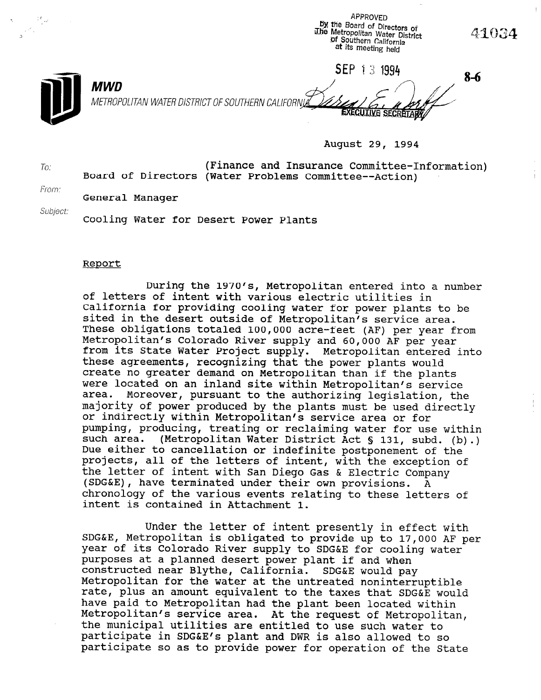APPROVED BY ttie Board of Directors of iLIie Metropolitan Water District 41034 **Of Southern California** at its meeting held SEP 13 1994 8-6 MWD MWD METROP METROPOLITAN WATER DISTRICT OF SOUTHERN CALIFORNIA

August 29, 1994

To: (Finance and Insurance Committee-Information) Board of Directors (Water Problems Committee--Action)

From. General Manager

Subject:

Cooling Water for Desert Power Plants

#### Report

During the 1970's, Metropolitan entered into a number of letters of intent with various electric utilities in California for providing cooling water for power plants to be callicinia for providing cooling water for power plants to sited in the desert outside of Metropolitan's service area. These obligations totaled 100,000 acre-feet (AF) per year from Metropolitan's Colorado River supply and 60,000 AF per year from its State Water Project supply. Metropolitan entered into these agreements, recognizing that the power plants would create no greater demand on Metropolitan than if the plants were located on an inland site within Metropolitan's service<br>area. Moreover, pursuant to the authorizing legislation, the Moreover, pursuant to the authorizing legislation, the majority of power produced by the plants must be used directly or indirectly within Metropolitan's service area or for pumping, producing, treating or reclaiming water for use within such area. (Metropolitan Water District Act § 131, subd. (b).) Due either to cancellation or indefinite postponement of the projects, all of the letters of intent, with the exception of the letter of intent with San Diego Gas & Electric Company (SDG&E), have terminated under their own provisions.  $\overline{A}$ chronology of the various events relating to these letters of intent is contained in Attachment 1.

Under the letter of intent presently in effect with SDG&E, Metropolitan is obligated to provide up to 17,000 AF per year of its Colorado River supply to SDG&E for cooling water purposes at a planned desert power plant if and when constructed near Blythe, California. SDG&E would pay Metropolitan for the water at the untreated noninterruptible rate, plus an amount equivalent to the taxes that SDG&E would have paid to Metropolitan had the plant been located within Metropolitan's service area. At the request of Metropolitan, the municipal utilities are entitled to use such water to participate in SDG&E's plant and DWR is also allowed to so participate so as to provide power for operation of the State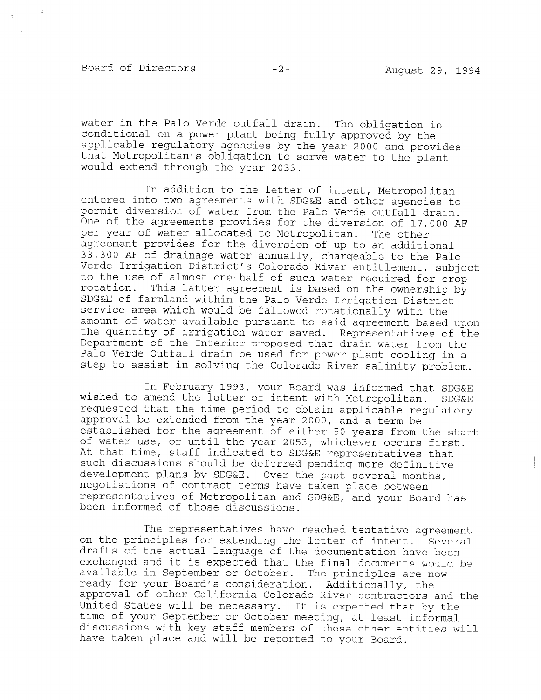Board of Directors -2- August 29, 1994

water in the Palo Verde outfall drain. The obligation is conditional on a power plant being fully approved by the applicable regulatory agencies by the year 2000 and provides that Metropolitan's obligation to serve water to the plant would extend through the year 2033.

In addition to the letter of intent, Metropolitan entered into two agreements with SDG&E and other agencies to permit diversion of water from the Palo Verde outfall drain. One of the agreements provides for the diversion of 17,000 AF per year of water allocated to Metropolitan. The other agreement provides for the diversion of up to an additional  $\frac{33}{23}$ ,  $\frac{300}{25}$   $\frac{85}{25}$  of drainage water annually, chargeable the Paloman verde Irrigation District's Colorado Discover W.I. Subject to the Palo  $t_{\text{tot}}$  the use of almost one-half of such water requirement, subj rotation. This latter agreement is built watch required for Crop SOGGE of farmland with a particular with the Ownership speak of farmfand within the fallo verde firigation pistric service area which would be fallowed rotationally with the<br>amount of water available pursuant to said agreement based upon amount of water available pursuant to sald agreement pased upor<br>the guantity of invitatives of one quantity of iffigation water saved. Representatives of t Department of the Interior proposed that drain water from the Palo Verde Outfall drain be used for power plant cooling in a<br>step to assist in solving the Colorado River salinity problem.

In February 1993, your Board was informed that SDG&E wished to amend the letter of intent with Metropolitan. SDG&E wished to amend the letter of intent with Metropolitan. SDG&E requested that the time period to obtain applicable regulatory approval be extended from the year 2000, and a term be established for the agreement of either 50 years from the start of water use, or until the year 2053, whichever occurs first. At that time, staff indicated to SDG&E representatives that such discussions should be deferred pending more definitive development plans by SDG&E. Over the past several months, negotiations of contract terms have taken place between representatives of Metropolitan and SDG&E, and your Board has been informed of those discussions.

The representatives have reached tentative agreement. on the principles for extending the letter of intent. Several drafts of the actual language of the documentation have been exchanged and it is expected that the final documents would be available in September or October. The principles are now ready for your Board's consideration. Additionally, the approval of other California Colorado River contractors and the United States will be necessary. It is expected that by the time of your September or October meeting, at least informal discussions with key staff members of these other entities will have taken place and will be reported to your Board.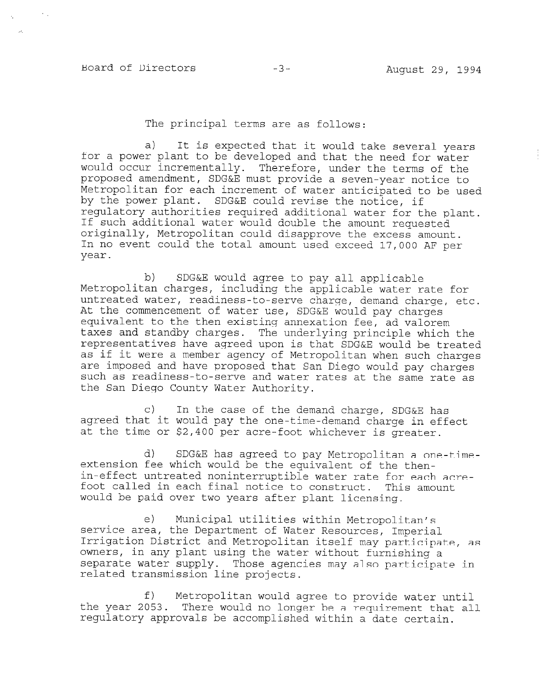# Board of Directors -3- August 29, 1994

#### The principal terms are as follows:

a) It is expected that it would take several years for a power plant to be developed and that the need for water would occur incrementally. Therefore, under the terms of the proposed amendment, SDG&E must provide a seven-year notice to Metropolitan for each increment of water anticipated to be used by the power plant. SDG&E could revise the notice, if regulatory authorities required additional water for the plant. If such additional water would double the amount requested originally, Metropolitan could disapprove the excess amount.  $\frac{1}{2}$  in no event could the total amount used exceed and  $\frac{1}{2}$ In no event could the total amount used exceed 17,000 AF per vear.

b) SDG&E would agree to pay all applicable Metropolitan charges, including the applicable water rate for nutreated water, reading the applicance water rate for untreated water, readiness-to-serve charge, demand charge, etc. At the commencement of water use, SDG&E would pay charges equivalent to the then existing annexation fee, ad valorem taxes and standby charges. The underlying principle which the representatives have agreed upon is that SDG&E would be treated as if it were a member agency of Metropolitan when such charges are imposed and have proposed that San Diego would pay charges such as readiness-to-serve and water rates at the same rate as<br>the San Diego County Water Authority.

 $\alpha$  In the demand charge,  $\alpha$  the demand charge,  $\alpha$ c) in the case of the demand charge, SDG&E has agreed that it would pay the one-time-demand charge in effect<br>at the time or \$2,400 per acre-foot whichever is greater.

 $\mathbf{S}$ d) SDG&E has agreed to pay Metropolitan a extension fee which would be the equivalent of the thenin-effect untreated noninterruptible water rate for each acrefoot called in each final notice to construct. This amount would be paid over two years after plant licensing.

e) Municipal utilities within Metropolitan service area, the Department of Water Resources, Imperial Irrigation District and Metropolitan itself may participate, as owners, in any plant using the water without furnishing a separate water supply. Those agencies may also participate in related transmission line projects.

f) Metropolitan would agree to provide water until the year 2053. There would no longer be a requirement that all regulatory approvals be accomplished within a date certain.

f) Metropolitan would agree to provide water until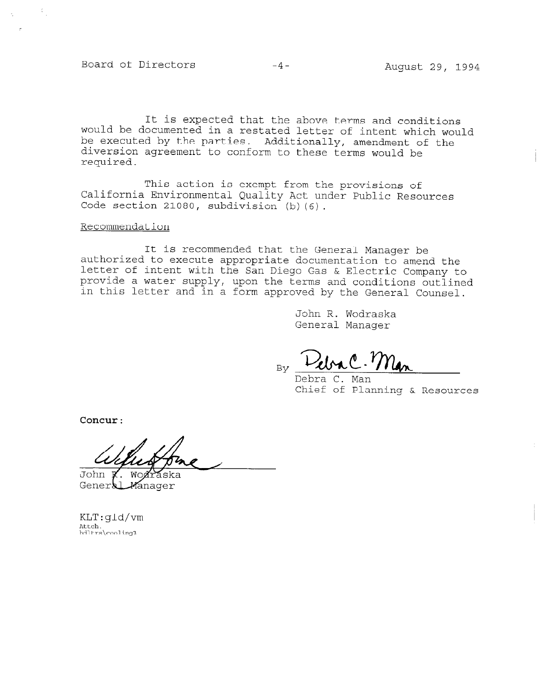Board of Directors -4- August 29, 1994

 $\mathcal{L}_{\mathcal{A}}$ 

It is expected that the above terms and conditions would be documented in a restated letter of intent which would be executed by the parties. Additionally, amendment of the diversion agreement to conform to these terms would be required.

This action is exempt from the provisions of California Environmental Quality Act under Public Resources Code section 21080, subdivision (b) (6).

#### Recommendation

It is recommended that the General Manager be authorized to execute appropriate documentation to amend the letter of intent with the San Diego Gas & Electric Company to provide a water supply, upon the terms and conditions outlined in this letter and in a form approved by the General Counsel.

> John R. Wodraska General Manager

 $_{\text{By}}$  Debra C. Man

Debra C. Man Chief of Planning & Resources

Concur:

John W General *M*anager

KLT:gld/vm Attc<mark>h.</mark><br>bdltrs\co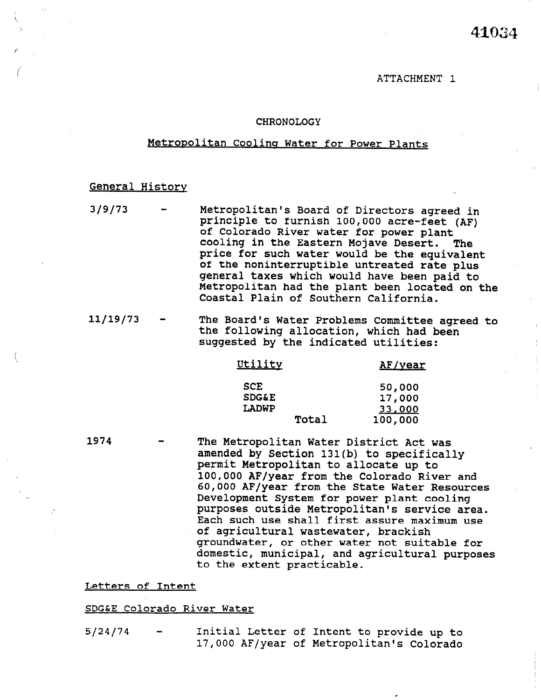#### ATTACHMENT 1

#### CHRONOLOGY

#### Metropolitan Cooling Water for Power Plants

## General Historv

3/g/73 - Metropolitan's Board of Directors agreed in principle to furnish 100,000 acre-feet (AF) of Colorado River water for power plant cooling in the Eastern Mojave Desert. The price for such water would be the equivalent price for such water would be the equivale; of the nonfineering three untreated rate plus general taxes which would have been paid to Metropolitan had the plant been located on the<br>Coastal Plain of Southern California.

<sup>11/19/73 -</sup> The Board's Water Problems Committee and Committee agreed to  $\mathbb{R}^n$ the board's water Problems Committee agr<br>the following allocation, which had b the following allocation, which had been<br>suggested by the indicated utilities:

| Utility          | AF/year       |
|------------------|---------------|
| <b>SCE</b>       | 50,000        |
| <b>SDG&amp;E</b> | 17,000        |
| LADWP            | <u>33,000</u> |
| m                | 100 DAO       |

1974 The Metropolitan Water District Act was The Metropolitan Water District Act was amended by Section 131(b) to specifically permit Metropolitan to allocate up to 100,000 AF/year from the Colorado River and 60,000 AF/year from the State Water Resources Development System for power plant cooling purposes outside Metropolitan's service area. Each such use shall first assure maximum use of agricultural wastewater, brackish groundwater, or other water not suitable for domestic, municipal, and agricultural purposes to the extent practicable.

Letters of Intent

SDG&E Colorado River Water Water Water Water Water Water Water Water Water Water Water Water Water Water Water<br>Water Water Water Water Water Water Water Water Water Water Water Water Water Water Water Water Water Water Wa SDG&E Colorado River Water

Initial Letter of Intent to provide up to  $5/24/74$ 17,000 AF/year of Metropolitan's Colorado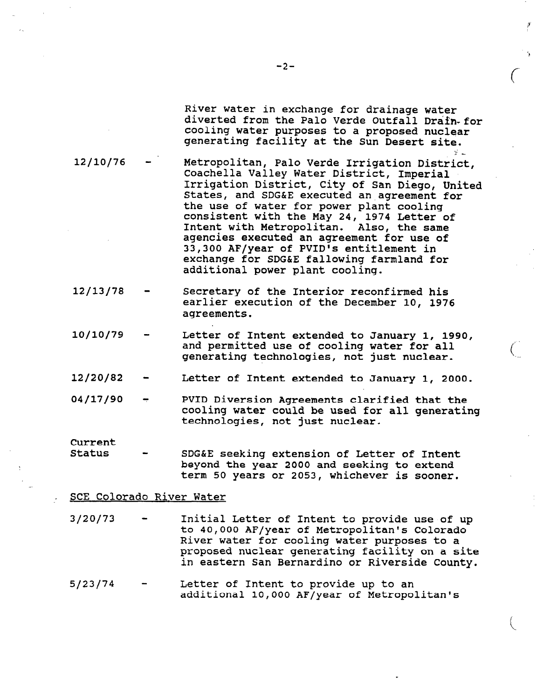River water in exchange for drainage water diverted from the Palo Verde Outfall Drafn-for cooling water purposes to a proposed nuclear generating facility at the Sun Desert site.

3'

 $\big($ 

 $\left(\begin{array}{c} 1 \end{array}\right)$ 

 $\mathbb{R}^2$  - ...

- 12/10/76 Metropolitan, Palo Verde Irrigation District, Coachella Valley Water District, Imperial Irrigation District, City of San Diego, United States, and SDG&E executed an.agreement for the use of water for power plant cooling consistent with the May 24, 1974 Letter of Intent with Metropolitan. Also, the same agencies executed an agreement for use of 33,300 AF/year of PVID's entitlement in exchange for SDG&E fallowing farmland for additional power plant cooling.
- 12/13/78 Secretary of the Interior reconfirmed his earlier execution of the December 10, 1976 agreements.
- 10/10/79 Letter of Intent extended to January 1, 1990, and permitted use of cooling water for all generating technologies, not just nuclear.
- 12/20/82 Letter of Intent extended to January 1, 2000.
- 04/17/90 PVID Diversion Agreements clarified that the cooling water could be used for all generating technologies, not just nuclear.

Current

- Status SDG&E seeking extension of Letter of Intent beyond the year 2000 and seeking to extend term 50 years or 2053, whichever is sooner.
- SCE Colorado River Water
- 3/20/73 Initial Letter of Intent to provide use of up to 40,000 AF/year of Metropolitan's Colorado River water for cooling water purposes to a proposed nuclear generating facility on a site in eastern San Bernardino or Riverside County.
- $5/23/74$  Letter of Intent to provide up to an additional 10,000 AF/year of Metropolitan's